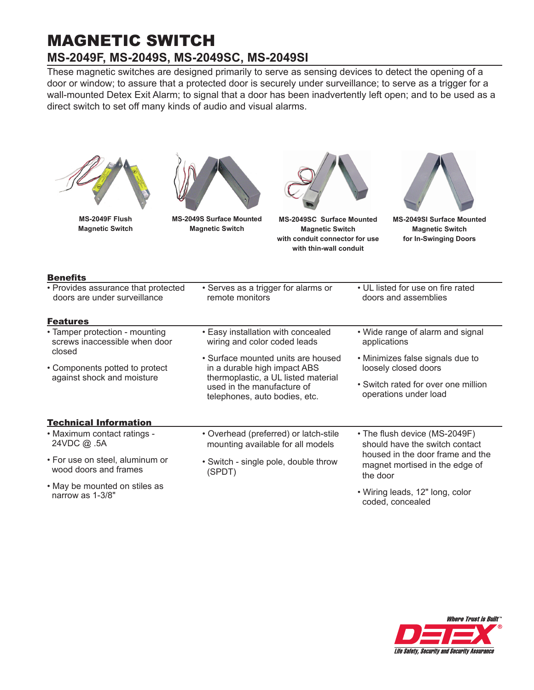# MAGNETIC SWITCH **MS-2049F, MS-2049S, MS-2049SC, MS-2049SI**

These magnetic switches are designed primarily to serve as sensing devices to detect the opening of a door or window; to assure that a protected door is securely under surveillance; to serve as a trigger for a wall-mounted Detex Exit Alarm; to signal that a door has been inadvertently left open; and to be used as a direct switch to set off many kinds of audio and visual alarms.

| MS-2049F Flush<br><b>Magnetic Switch</b>                                                                                      | <b>MS-2049S Surface Mounted</b><br><b>Magnetic Switch</b>                  | <b>MS-2049SC Surface Mounted</b><br><b>Magnetic Switch</b><br>with conduit connector for use<br>with thin-wall conduit                                                   |                                                                 | <b>MS-2049SI Surface Mounted</b><br><b>Magnetic Switch</b><br>for In-Swinging Doors |  |
|-------------------------------------------------------------------------------------------------------------------------------|----------------------------------------------------------------------------|--------------------------------------------------------------------------------------------------------------------------------------------------------------------------|-----------------------------------------------------------------|-------------------------------------------------------------------------------------|--|
| <b>Benefits</b>                                                                                                               |                                                                            |                                                                                                                                                                          |                                                                 |                                                                                     |  |
| • Serves as a trigger for alarms or<br>• Provides assurance that protected<br>doors are under surveillance<br>remote monitors |                                                                            |                                                                                                                                                                          | • UL listed for use on fire rated<br>doors and assemblies       |                                                                                     |  |
| <b>Features</b>                                                                                                               |                                                                            |                                                                                                                                                                          |                                                                 |                                                                                     |  |
| • Tamper protection - mounting<br>screws inaccessible when door<br>closed                                                     |                                                                            | • Easy installation with concealed<br>wiring and color coded leads                                                                                                       |                                                                 | • Wide range of alarm and signal<br>applications                                    |  |
| • Components potted to protect                                                                                                |                                                                            | • Surface mounted units are housed<br>in a durable high impact ABS<br>thermoplastic, a UL listed material<br>used in the manufacture of<br>telephones, auto bodies, etc. |                                                                 | • Minimizes false signals due to<br>loosely closed doors                            |  |
| against shock and moisture                                                                                                    |                                                                            |                                                                                                                                                                          |                                                                 | • Switch rated for over one million<br>operations under load                        |  |
| <b>Technical Information</b>                                                                                                  |                                                                            |                                                                                                                                                                          |                                                                 |                                                                                     |  |
| • Maximum contact ratings -<br>24VDC @ .5A                                                                                    | • Overhead (preferred) or latch-stile<br>mounting available for all models |                                                                                                                                                                          | • The flush device (MS-2049F)<br>should have the switch contact |                                                                                     |  |
| • For use on steel, aluminum or<br>wood doors and frames                                                                      | (SPDT)                                                                     | • Switch - single pole, double throw                                                                                                                                     |                                                                 | housed in the door frame and the<br>magnet mortised in the edge of<br>the door      |  |
| • May be mounted on stiles as<br>narrow as 1-3/8"                                                                             |                                                                            |                                                                                                                                                                          | coded, concealed                                                | • Wiring leads, 12" long, color                                                     |  |